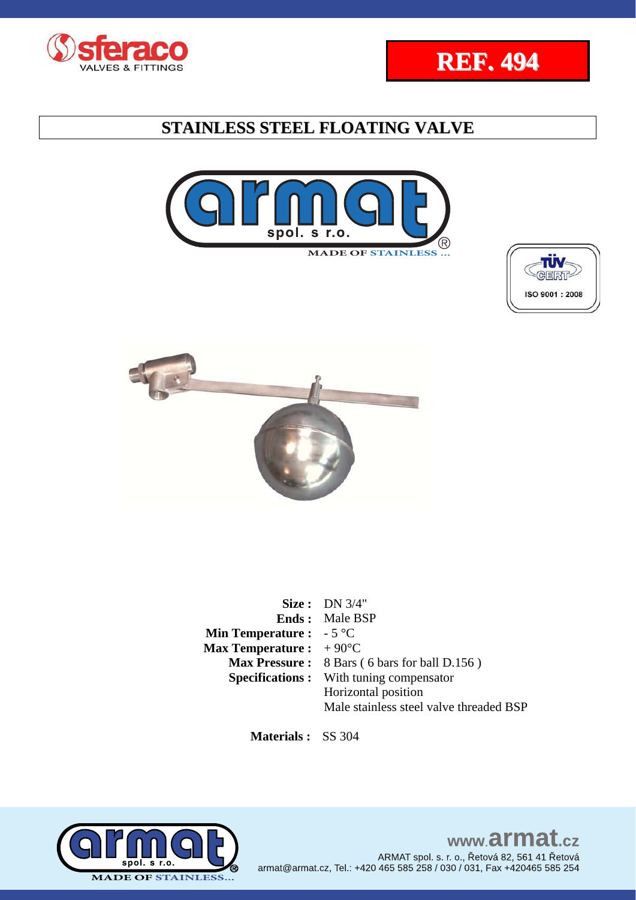









|                                          | Size: $DN 3/4"$<br><b>Ends:</b> Male BSP            |
|------------------------------------------|-----------------------------------------------------|
| <b>Min Temperature :</b> $-5^{\circ}C$   |                                                     |
| <b>Max Temperature :</b> $+90^{\circ}$ C |                                                     |
|                                          |                                                     |
|                                          | <b>Max Pressure:</b> 8 Bars (6 bars for ball D.156) |
|                                          | <b>Specifications:</b> With tuning compensator      |
|                                          | Horizontal position                                 |
|                                          | Male stainless steel valve threaded BSP             |

 **Materials :** SS 304

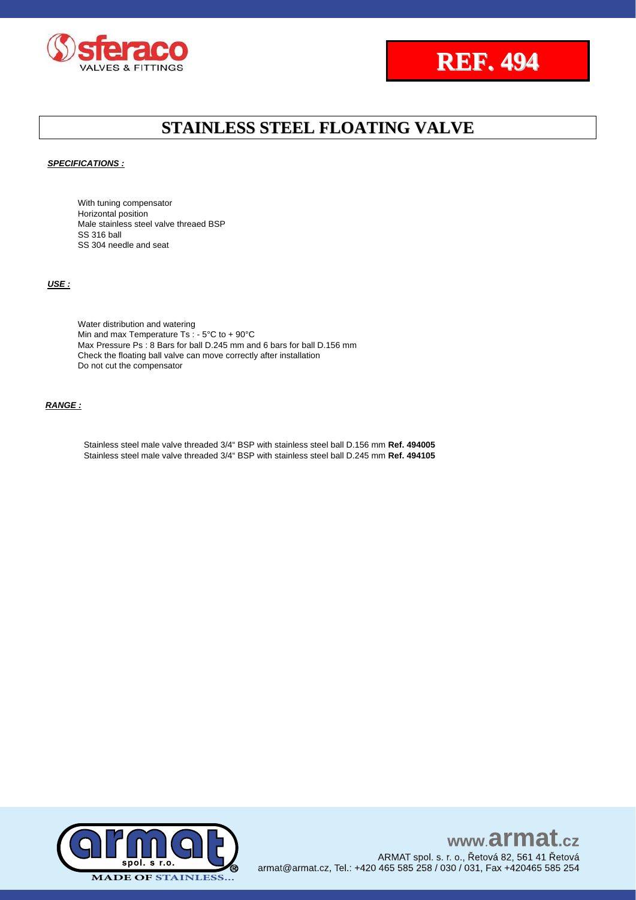



*SPECIFICATIONS :*

With tuning compensator Horizontal position Male stainless steel valve threaed BSP SS 316 ball SS 304 needle and seat

*USE :*

Water distribution and watering Min and max Temperature Ts : - 5°C to + 90°C Max Pressure Ps : 8 Bars for ball D.245 mm and 6 bars for ball D.156 mm Check the floating ball valve can move correctly after installation Do not cut the compensator

*RANGE :*

Stainless steel male valve threaded 3/4" BSP with stainless steel ball D.156 mm **Ref. 494005** Stainless steel male valve threaded 3/4" BSP with stainless steel ball D.245 mm **Ref. 494105**

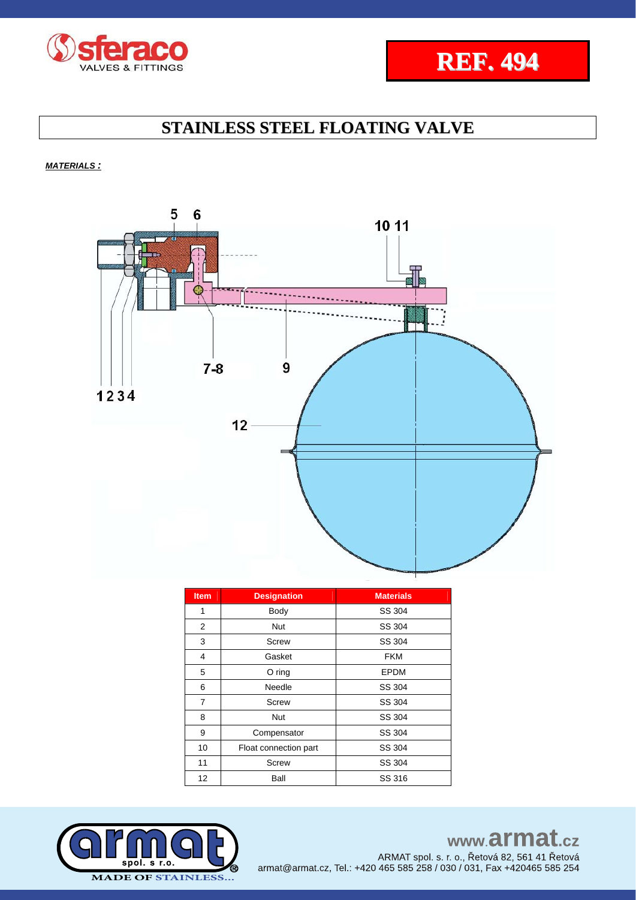



*MATERIALS :*



| <b>Item</b> | <b>Designation</b>    | <b>Materials</b> |  |
|-------------|-----------------------|------------------|--|
| 1           | Body                  | SS 304           |  |
| 2           | Nut                   | SS 304           |  |
| 3           | Screw                 | SS 304           |  |
| 4           | Gasket                | <b>FKM</b>       |  |
| 5           | $O$ ring              | EPDM             |  |
| 6           | Needle                | SS 304           |  |
| 7           | Screw                 | SS 304           |  |
| 8           | Nut                   | SS 304           |  |
| 9           | Compensator           | SS 304           |  |
| 10          | Float connection part | SS 304           |  |
| 11          | Screw                 | SS 304           |  |
| 12          | Ball                  | SS 316           |  |

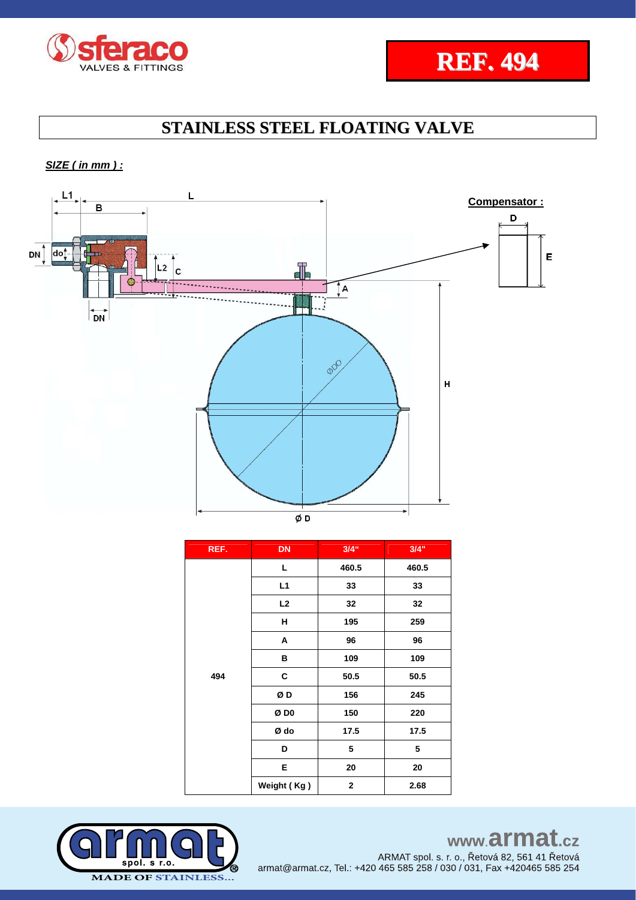



*SIZE ( in mm ) :* 



| REF. | <b>DN</b>   | $3/4$ " | 3/4"  |
|------|-------------|---------|-------|
| 494  | L           | 460.5   | 460.5 |
|      | L1          | 33      | 33    |
|      | L2          | 32      | 32    |
|      | н           | 195     | 259   |
|      | Α           | 96      | 96    |
|      | в           | 109     | 109   |
|      | С           | 50.5    | 50.5  |
|      | ØD          | 156     | 245   |
|      | Ø DO        | 150     | 220   |
|      | Ø do        | 17.5    | 17.5  |
|      | D           | 5       | 5     |
|      | E           | 20      | 20    |
|      | Weight (Kg) | 2       | 2.68  |